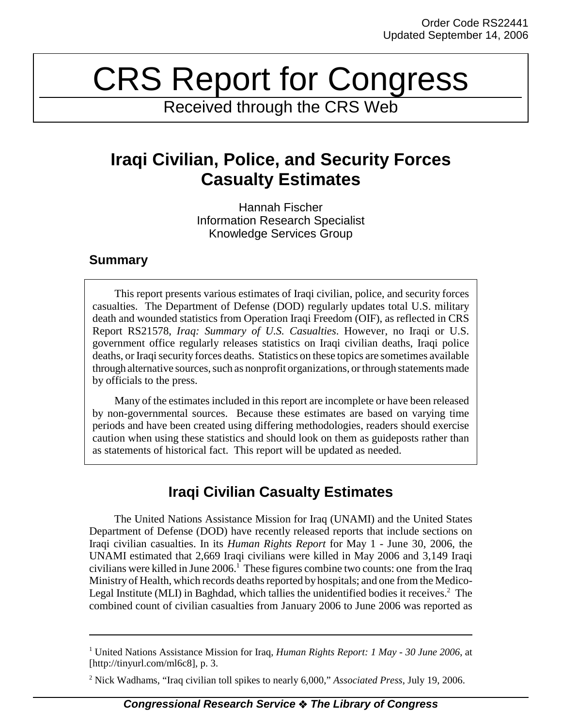# CRS Report for Congress

Received through the CRS Web

## **Iraqi Civilian, Police, and Security Forces Casualty Estimates**

Hannah Fischer Information Research Specialist Knowledge Services Group

### **Summary**

This report presents various estimates of Iraqi civilian, police, and security forces casualties. The Department of Defense (DOD) regularly updates total U.S. military death and wounded statistics from Operation Iraqi Freedom (OIF), as reflected in CRS Report RS21578, *Iraq: Summary of U.S. Casualties*. However, no Iraqi or U.S. government office regularly releases statistics on Iraqi civilian deaths, Iraqi police deaths, or Iraqi security forces deaths. Statistics on these topics are sometimes available through alternative sources, such as nonprofit organizations, or through statements made by officials to the press.

Many of the estimates included in this report are incomplete or have been released by non-governmental sources. Because these estimates are based on varying time periods and have been created using differing methodologies, readers should exercise caution when using these statistics and should look on them as guideposts rather than as statements of historical fact. This report will be updated as needed.

## **Iraqi Civilian Casualty Estimates**

 The United Nations Assistance Mission for Iraq (UNAMI) and the United States Department of Defense (DOD) have recently released reports that include sections on Iraqi civilian casualties. In its *Human Rights Report* for May 1 - June 30, 2006, the UNAMI estimated that 2,669 Iraqi civilians were killed in May 2006 and 3,149 Iraqi civilians were killed in June  $2006$ .<sup>1</sup> These figures combine two counts: one from the Iraq Ministry of Health, which records deaths reported by hospitals; and one from the Medico-Legal Institute (MLI) in Baghdad, which tallies the unidentified bodies it receives.<sup>2</sup> The combined count of civilian casualties from January 2006 to June 2006 was reported as

<sup>&</sup>lt;sup>1</sup> United Nations Assistance Mission for Iraq, *Human Rights Report: 1 May - 30 June 2006*, at [http://tinyurl.com/ml6c8], p. 3.

<sup>2</sup> Nick Wadhams, "Iraq civilian toll spikes to nearly 6,000," *Associated Press*, July 19, 2006.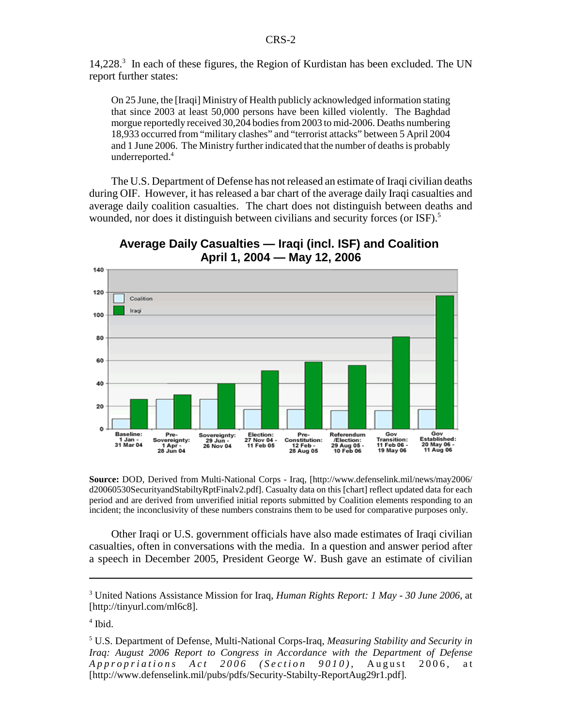14,228.<sup>3</sup> In each of these figures, the Region of Kurdistan has been excluded. The UN report further states:

On 25 June, the [Iraqi] Ministry of Health publicly acknowledged information stating that since 2003 at least 50,000 persons have been killed violently. The Baghdad morgue reportedly received 30,204 bodies from 2003 to mid-2006. Deaths numbering 18,933 occurred from "military clashes" and "terrorist attacks" between 5 April 2004 and 1 June 2006. The Ministry further indicated that the number of deaths is probably underreported.4

The U.S. Department of Defense has not released an estimate of Iraqi civilian deaths during OIF. However, it has released a bar chart of the average daily Iraqi casualties and average daily coalition casualties. The chart does not distinguish between deaths and wounded, nor does it distinguish between civilians and security forces (or ISF).<sup>5</sup>

**Average Daily Casualties — Iraqi (incl. ISF) and Coalition April 1, 2004 — May 12, 2006**



**Source:** DOD, Derived from Multi-National Corps - Iraq, [http://www.defenselink.mil/news/may2006/ d20060530SecurityandStabiltyRptFinalv2.pdf]. Casualty data on this [chart] reflect updated data for each period and are derived from unverified initial reports submitted by Coalition elements responding to an incident; the inconclusivity of these numbers constrains them to be used for comparative purposes only.

Other Iraqi or U.S. government officials have also made estimates of Iraqi civilian casualties, often in conversations with the media. In a question and answer period after a speech in December 2005, President George W. Bush gave an estimate of civilian

<sup>3</sup> United Nations Assistance Mission for Iraq, *Human Rights Report: 1 May - 30 June 2006*, at [http://tinyurl.com/ml6c8].

<sup>4</sup> Ibid.

<sup>5</sup> U.S. Department of Defense, Multi-National Corps-Iraq, *Measuring Stability and Security in Iraq: August 2006 Report to Congress in Accordance with the Department of Defense Appropriations Act 2006 (Section 9010)* , August 2006, at [http://www.defenselink.mil/pubs/pdfs/Security-Stabilty-ReportAug29r1.pdf].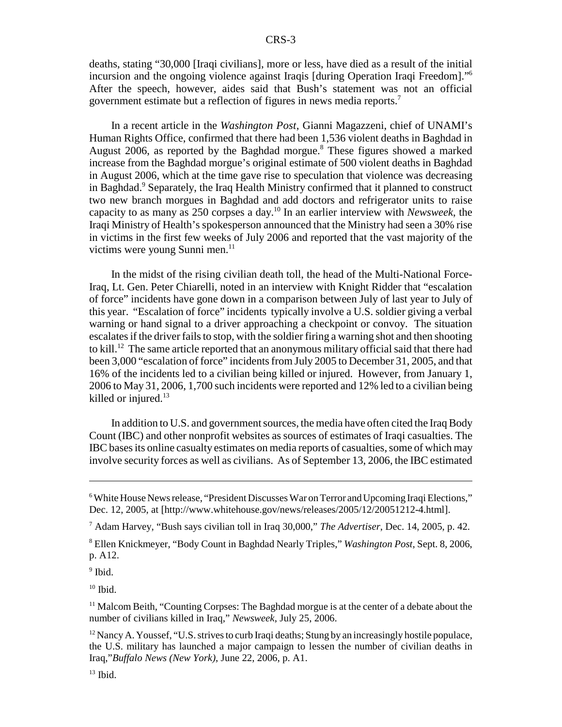deaths, stating "30,000 [Iraqi civilians], more or less, have died as a result of the initial incursion and the ongoing violence against Iraqis [during Operation Iraqi Freedom]."6 After the speech, however, aides said that Bush's statement was not an official government estimate but a reflection of figures in news media reports.7

In a recent article in the *Washington Post*, Gianni Magazzeni, chief of UNAMI's Human Rights Office, confirmed that there had been 1,536 violent deaths in Baghdad in August 2006, as reported by the Baghdad morgue.<sup>8</sup> These figures showed a marked increase from the Baghdad morgue's original estimate of 500 violent deaths in Baghdad in August 2006, which at the time gave rise to speculation that violence was decreasing in Baghdad.<sup>9</sup> Separately, the Iraq Health Ministry confirmed that it planned to construct two new branch morgues in Baghdad and add doctors and refrigerator units to raise capacity to as many as 250 corpses a day.10 In an earlier interview with *Newsweek*, the Iraqi Ministry of Health's spokesperson announced that the Ministry had seen a 30% rise in victims in the first few weeks of July 2006 and reported that the vast majority of the victims were young Sunni men.<sup>11</sup>

In the midst of the rising civilian death toll, the head of the Multi-National Force-Iraq, Lt. Gen. Peter Chiarelli, noted in an interview with Knight Ridder that "escalation of force" incidents have gone down in a comparison between July of last year to July of this year. "Escalation of force" incidents typically involve a U.S. soldier giving a verbal warning or hand signal to a driver approaching a checkpoint or convoy. The situation escalates if the driver fails to stop, with the soldier firing a warning shot and then shooting to kill.12 The same article reported that an anonymous military official said that there had been 3,000 "escalation of force" incidents from July 2005 to December 31, 2005, and that 16% of the incidents led to a civilian being killed or injured. However, from January 1, 2006 to May 31, 2006, 1,700 such incidents were reported and 12% led to a civilian being killed or injured. $13$ 

In addition to U.S. and government sources, the media have often cited the Iraq Body Count (IBC) and other nonprofit websites as sources of estimates of Iraqi casualties. The IBC bases its online casualty estimates on media reports of casualties, some of which may involve security forces as well as civilians. As of September 13, 2006, the IBC estimated

7 Adam Harvey, "Bush says civilian toll in Iraq 30,000," *The Advertiser*, Dec. 14, 2005, p. 42.

8 Ellen Knickmeyer, "Body Count in Baghdad Nearly Triples," *Washington Post*, Sept. 8, 2006, p. A12.

<sup>9</sup> Ibid.

 $10$  Ibid.

<sup>11</sup> Malcom Beith, "Counting Corpses: The Baghdad morgue is at the center of a debate about the number of civilians killed in Iraq," *Newsweek*, July 25, 2006.

 $12$  Nancy A. Youssef, "U.S. strives to curb Iraqi deaths; Stung by an increasingly hostile populace, the U.S. military has launched a major campaign to lessen the number of civilian deaths in Iraq,"*Buffalo News (New York)*, June 22, 2006, p. A1.

 $13$  Ibid.

<sup>&</sup>lt;sup>6</sup> White House News release, "President Discusses War on Terror and Upcoming Iraqi Elections," Dec. 12, 2005, at [http://www.whitehouse.gov/news/releases/2005/12/20051212-4.html].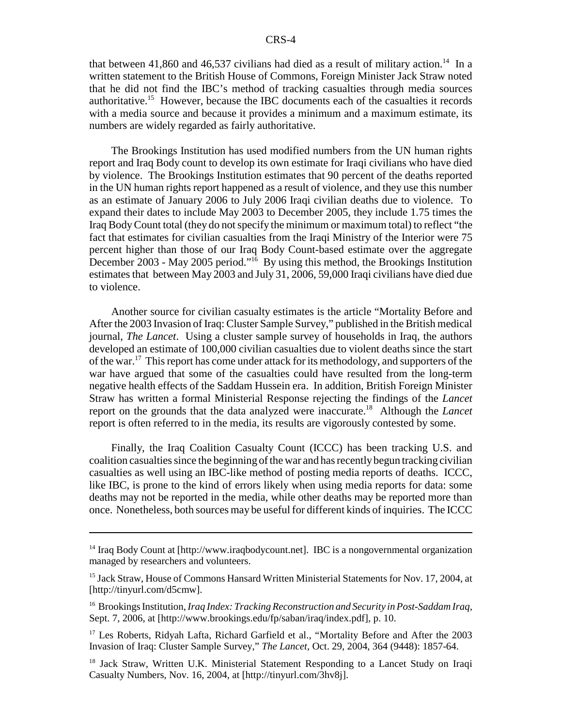that between 41,860 and 46,537 civilians had died as a result of military action.<sup>14</sup> In a written statement to the British House of Commons, Foreign Minister Jack Straw noted that he did not find the IBC's method of tracking casualties through media sources authoritative.15 However, because the IBC documents each of the casualties it records with a media source and because it provides a minimum and a maximum estimate, its numbers are widely regarded as fairly authoritative.

The Brookings Institution has used modified numbers from the UN human rights report and Iraq Body count to develop its own estimate for Iraqi civilians who have died by violence. The Brookings Institution estimates that 90 percent of the deaths reported in the UN human rights report happened as a result of violence, and they use this number as an estimate of January 2006 to July 2006 Iraqi civilian deaths due to violence. To expand their dates to include May 2003 to December 2005, they include 1.75 times the Iraq Body Count total (they do not specify the minimum or maximum total) to reflect "the fact that estimates for civilian casualties from the Iraqi Ministry of the Interior were 75 percent higher than those of our Iraq Body Count-based estimate over the aggregate December 2003 - May 2005 period."16 By using this method, the Brookings Institution estimates that between May 2003 and July 31, 2006, 59,000 Iraqi civilians have died due to violence.

Another source for civilian casualty estimates is the article "Mortality Before and After the 2003 Invasion of Iraq: Cluster Sample Survey," published in the British medical journal, *The Lancet*. Using a cluster sample survey of households in Iraq, the authors developed an estimate of 100,000 civilian casualties due to violent deaths since the start of the war.17 This report has come under attack for its methodology, and supporters of the war have argued that some of the casualties could have resulted from the long-term negative health effects of the Saddam Hussein era. In addition, British Foreign Minister Straw has written a formal Ministerial Response rejecting the findings of the *Lancet* report on the grounds that the data analyzed were inaccurate.18 Although the *Lancet* report is often referred to in the media, its results are vigorously contested by some.

Finally, the Iraq Coalition Casualty Count (ICCC) has been tracking U.S. and coalition casualties since the beginning of the war and has recently begun tracking civilian casualties as well using an IBC-like method of posting media reports of deaths. ICCC, like IBC, is prone to the kind of errors likely when using media reports for data: some deaths may not be reported in the media, while other deaths may be reported more than once. Nonetheless, both sources may be useful for different kinds of inquiries. The ICCC

<sup>&</sup>lt;sup>14</sup> Iraq Body Count at [http://www.iraqbodycount.net]. IBC is a nongovernmental organization managed by researchers and volunteers.

<sup>&</sup>lt;sup>15</sup> Jack Straw, House of Commons Hansard Written Ministerial Statements for Nov. 17, 2004, at [http://tinyurl.com/d5cmw].

<sup>16</sup> Brookings Institution, *Iraq Index: Tracking Reconstruction and Security in Post-Saddam Iraq*, Sept. 7, 2006, at [http://www.brookings.edu/fp/saban/iraq/index.pdf], p. 10.

<sup>&</sup>lt;sup>17</sup> Les Roberts, Ridyah Lafta, Richard Garfield et al., "Mortality Before and After the 2003 Invasion of Iraq: Cluster Sample Survey," *The Lancet*, Oct. 29, 2004, 364 (9448): 1857-64.

<sup>&</sup>lt;sup>18</sup> Jack Straw, Written U.K. Ministerial Statement Responding to a Lancet Study on Iraqi Casualty Numbers, Nov. 16, 2004, at [http://tinyurl.com/3hv8j].